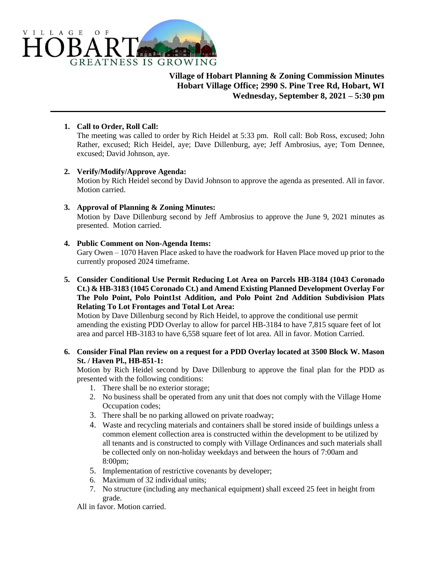

**Village of Hobart Planning & Zoning Commission Minutes Hobart Village Office; 2990 S. Pine Tree Rd, Hobart, WI Wednesday, September 8, 2021 – 5:30 pm**

### **1. Call to Order, Roll Call:**

The meeting was called to order by Rich Heidel at 5:33 pm. Roll call: Bob Ross, excused; John Rather, excused; Rich Heidel, aye; Dave Dillenburg, aye; Jeff Ambrosius, aye; Tom Dennee, excused; David Johnson, aye.

#### **2. Verify/Modify/Approve Agenda:**

Motion by Rich Heidel second by David Johnson to approve the agenda as presented. All in favor. Motion carried.

## **3. Approval of Planning & Zoning Minutes:**

Motion by Dave Dillenburg second by Jeff Ambrosius to approve the June 9, 2021 minutes as presented. Motion carried.

#### **4. Public Comment on Non-Agenda Items:**

Gary Owen – 1070 Haven Place asked to have the roadwork for Haven Place moved up prior to the currently proposed 2024 timeframe.

**5. Consider Conditional Use Permit Reducing Lot Area on Parcels HB-3184 (1043 Coronado Ct.) & HB-3183 (1045 Coronado Ct.) and Amend Existing Planned Development Overlay For The Polo Point, Polo Point1st Addition, and Polo Point 2nd Addition Subdivision Plats Relating To Lot Frontages and Total Lot Area:**

Motion by Dave Dillenburg second by Rich Heidel, to approve the conditional use permit amending the existing PDD Overlay to allow for parcel HB-3184 to have 7,815 square feet of lot area and parcel HB-3183 to have 6,558 square feet of lot area. All in favor. Motion Carried.

## **6. Consider Final Plan review on a request for a PDD Overlay located at 3500 Block W. Mason St. / Haven Pl., HB-851-1:**

Motion by Rich Heidel second by Dave Dillenburg to approve the final plan for the PDD as presented with the following conditions:

- 1. There shall be no exterior storage;
- 2. No business shall be operated from any unit that does not comply with the Village Home Occupation codes;
- 3. There shall be no parking allowed on private roadway;
- 4. Waste and recycling materials and containers shall be stored inside of buildings unless a common element collection area is constructed within the development to be utilized by all tenants and is constructed to comply with Village Ordinances and such materials shall be collected only on non-holiday weekdays and between the hours of 7:00am and 8:00pm;
- 5. Implementation of restrictive covenants by developer;
- 6. Maximum of 32 individual units;
- 7. No structure (including any mechanical equipment) shall exceed 25 feet in height from grade.

All in favor. Motion carried.